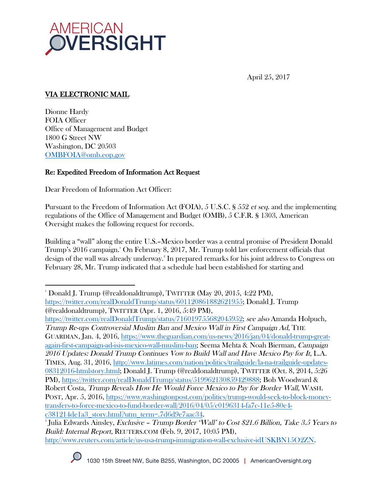

April 25, 2017

# VIA ELECTRONIC MAIL

Dionne Hardy FOIA Officer Office of Management and Budget 1800 G Street NW Washington, DC 20503 OMBFOIA@omb.eop.gov

 

## Re: Expedited Freedom of Information Act Request

Dear Freedom of Information Act Officer:

Pursuant to the Freedom of Information Act (FOIA), 5 U.S.C. § 552 et seq. and the implementing regulations of the Office of Management and Budget (OMB), 5 C.F.R. § 1303, American Oversight makes the following request for records.

Building a "wall" along the entire U.S.–Mexico border was a central promise of President Donald Trump's 2016 campaign.1 On February 8, 2017, Mr. Trump told law enforcement officials that design of the wall was already underway. 2 In prepared remarks for his joint address to Congress on February 28, Mr. Trump indicated that a schedule had been established for starting and

https://twitter.com/realDonaldTrump/status/716019755682045952; see also Amanda Holpuch, Trump Re-ups Controversial Muslim Ban and Mexico Wall in First Campaign Ad, THE GUARDIAN, Jan. 4, 2016, https://www.theguardian.com/us-news/2016/jan/04/donald-trump-greatagain-first-campaign-ad-isis-mexico-wall-muslim-ban; Seema Mehta & Noah Bierman, Campaign 2016 Updates: Donald Trump Continues Vow to Build Wall and Have Mexico Pay for It, L.A. TIMES, Aug. 31, 2016, http://www.latimes.com/nation/politics/trailguide/la-na-trailguide-updates-08312016-htmlstory.html; Donald J. Trump (@realdonaldtrump), TWITTER (Oct. 8, 2014, 5:26 PM), https://twitter.com/realDonaldTrump/status/519962130859429888; Bob Woodward & Robert Costa, Trump Reveals How He Would Force Mexico to Pay for Border Wall, WASH. POST, Apr. 5, 2016, https://www.washingtonpost.com/politics/trump-would-seek-to-block-moneytransfers-to-force-mexico-to-fund-border-wall/2016/04/05/c0196314-fa7c-11e5-80e4 c381214de1a3\_story.html?utm\_term=.7d6d9e7aac34. 2

<sup>&</sup>lt;sup>2</sup> Julia Edwards Ainsley, *Exclusive – Trump Border 'Wall' to Cost \$21.6 Billion, Take 3.5 Years to* Build: Internal Report, REUTERS.COM (Feb. 9, 2017, 10:05 PM), http://www.reuters.com/article/us-usa-trump-immigration-wall-exclusive-idUSKBN15O2ZN.



<sup>1</sup> Donald J. Trump (@realdonaldtrump), TWITTER (May 20, 2015, 4:22 PM), https://twitter.com/realDonaldTrump/status/601120861882621955; Donald J. Trump (@realdonaldtrump), TWITTER (Apr. 1, 2016, 5:49 PM),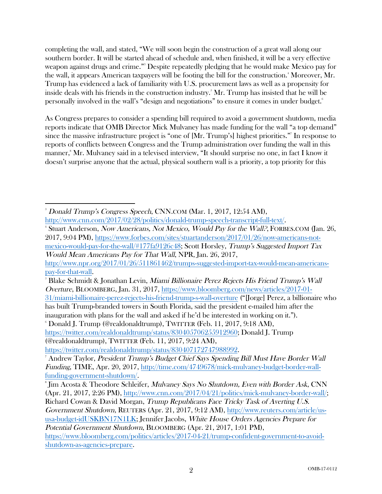completing the wall, and stated, "We will soon begin the construction of a great wall along our southern border. It will be started ahead of schedule and, when finished, it will be a very effective weapon against drugs and crime."3 Despite repeatedly pledging that he would make Mexico pay for the wall, it appears American taxpayers will be footing the bill for the construction.<sup>4</sup> Moreover, Mr. Trump has evidenced a lack of familiarity with U.S. procurement laws as well as a propensity for inside deals with his friends in the construction industry.5 Mr. Trump has insisted that he will be personally involved in the wall's "design and negotiations" to ensure it comes in under budget.6

As Congress prepares to consider a spending bill required to avoid a government shutdown, media reports indicate that OMB Director Mick Mulvaney has made funding for the wall "a top demand" since the massive infrastructure project is "one of [Mr. Trump's] highest priorities."7 In response to reports of conflicts between Congress and the Trump administration over funding the wall in this manner, 8 Mr. Mulvaney said in a televised interview, "It should surprise no one, in fact I know it doesn't surprise anyone that the actual, physical southern wall is a priority, a top priority for this

 $\degree$  Donald J. Trump (@realdonaldtrump), TWITTER (Feb. 11, 2017, 9:18 AM), https://twitter.com/realdonaldtrump/status/830405706255912960; Donald J. Trump (@realdonaldtrump), TWITTER (Feb. 11, 2017, 9:24 AM),

 3 Donald Trump's Congress Speech, CNN.COM (Mar. 1, 2017, 12:54 AM), http://www.cnn.com/2017/02/28/politics/donald-trump-speech-transcript-full-text/. 4

<sup>&</sup>lt;sup>4</sup> Stuart Anderson, *Now Americans, Not Mexico, Would Pay for the Wall?*, FORBES.COM (Jan. 26, 2017, 9:04 PM), https://www.forbes.com/sites/stuartanderson/2017/01/26/now-americans-notmexico-would-pay-for-the-wall/#177fa9126c48; Scott Horsley, Trump's Suggested Import Tax Would Mean Americans Pay for That Wall, NPR, Jan. 26, 2017,

http://www.npr.org/2017/01/26/511861462/trumps-suggested-import-tax-would-mean-americanspay-for-that-wall. 5

 $^8$ Blake Schmidt & Jonathan Levin, *Miami Billionaire Perez Rejects His Friend Trump's Wall* Overture, BLOOMBERG, Jan. 31, 2017, https://www.bloomberg.com/news/articles/2017-01- 31/miami-billionaire-perez-rejects-his-friend-trump-s-wall-overture ("[Jorge] Perez, a billionaire who has built Trump-branded towers in South Florida, said the president e-mailed him after the inauguration with plans for the wall and asked if he'd be interested in working on it."). 6

https://twitter.com/realdonaldtrump/status/830407172747988992.

<sup>7</sup> Andrew Taylor, President Trump's Budget Chief Says Spending Bill Must Have Border Wall Funding, TIME, Apr. 20, 2017, http://time.com/4749678/mick-mulvaney-budget-border-wallfunding-government-shutdown/.

<sup>&</sup>lt;sup>8</sup> Jim Acosta & Theodore Schleifer, *Mulvaney Says No Shutdown, Even with Border Ask*, CNN (Apr. 21, 2017, 2:26 PM), http://www.cnn.com/2017/04/21/politics/mick-mulvaney-border-wall/;

Richard Cowan & David Morgan, Trump Republicans Face Tricky Task of Averting U.S. Government Shutdown, REUTERS (Apr. 21, 2017, 9:12 AM), http://www.reuters.com/article/us-

usa-budget-idUSKBN17N1LK; Jennifer Jacobs, White House Orders Agencies Prepare for Potential Government Shutdown, BLOOMBERG (Apr. 21, 2017, 1:01 PM),

https://www.bloomberg.com/politics/articles/2017-04-21/trump-confident-government-to-avoidshutdown-as-agencies-prepare.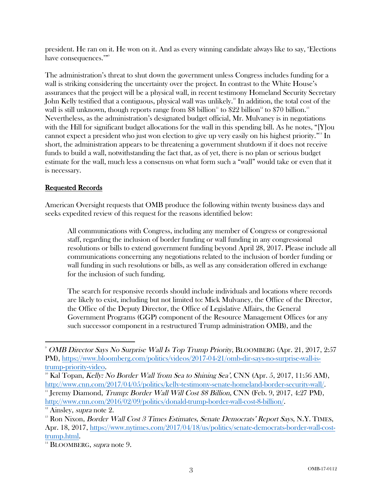president. He ran on it. He won on it. And as every winning candidate always like to say, 'Elections have consequences.""

The administration's threat to shut down the government unless Congress includes funding for a wall is striking considering the uncertainty over the project. In contrast to the White House's assurances that the project will be a physical wall, in recent testimony Homeland Security Secretary John Kelly testified that a contiguous, physical wall was unlikely.<sup>10</sup> In addition, the total cost of the wall is still unknown, though reports range from \$8 billion<sup>11</sup> to \$22 billion<sup>12</sup> to \$70 billion.<sup>13</sup> Nevertheless, as the administration's designated budget official, Mr. Mulvaney is in negotiations with the Hill for significant budget allocations for the wall in this spending bill. As he notes, "[Y]ou cannot expect a president who just won election to give up very easily on his highest priority."<sup>14</sup> In short, the administration appears to be threatening a government shutdown if it does not receive funds to build a wall, notwithstanding the fact that, as of yet, there is no plan or serious budget estimate for the wall, much less a consensus on what form such a "wall" would take or even that it is necessary.

## Requested Records

American Oversight requests that OMB produce the following within twenty business days and seeks expedited review of this request for the reasons identified below:

All communications with Congress, including any member of Congress or congressional staff, regarding the inclusion of border funding or wall funding in any congressional resolutions or bills to extend government funding beyond April 28, 2017. Please include all communications concerning any negotiations related to the inclusion of border funding or wall funding in such resolutions or bills, as well as any consideration offered in exchange for the inclusion of such funding.

The search for responsive records should include individuals and locations where records are likely to exist, including but not limited to: Mick Mulvaney, the Office of the Director, the Office of the Deputy Director, the Office of Legislative Affairs, the General Government Programs (GGP) component of the Resource Management Offices (or any such successor component in a restructured Trump administration OMB), and the

<sup>&</sup>lt;sup>9</sup> OMB Director Says No Surprise Wall Is Top Trump Priority, BLOOMBERG (Apr. 21, 2017, 2:57 PM), https://www.bloomberg.com/politics/videos/2017-04-21/omb-dir-says-no-surprise-wall-is-

trump-priority-video.<br><sup>10</sup> Kal Topan, *Kelly: No Border Wall 'from Sea to Shining Sea'*, CNN (Apr. 5, 2017, 11:56 AM), http://www.cnn.com/2017/04/05/politics/kelly-testimony-senate-homeland-border-security-wall/.<br>
"Jeremy Diamond, *Trump: Border Wall Will Cost \$8 Billion*, CNN (Feb. 9, 2017, 4:27 PM), http://www.cnn.com/2016/02/09/politics/donald-trump-border-wall-cost-8-billion/.<br><sup>12</sup> Ainsley, *supra* note 2.

 $13$  Ron Nixon, *Border Wall Cost 3 Times Estimates, Senate Democrats' Report Says, N.Y. TIMES,* Apr. 18, 2017, https://www.nytimes.com/2017/04/18/us/politics/senate-democrats-border-wall-costtrump.html.<br><sup>14</sup> BLOOMBERG, *supra* note 9.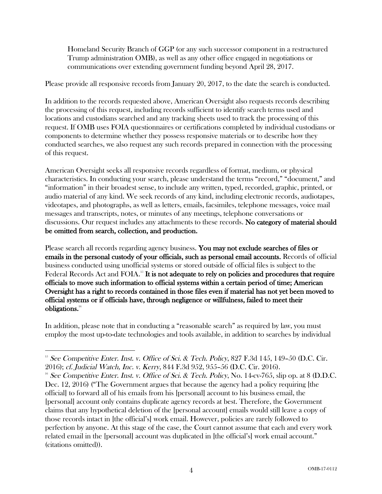Homeland Security Branch of GGP (or any such successor component in a restructured Trump administration OMB), as well as any other office engaged in negotiations or communications over extending government funding beyond April 28, 2017.

Please provide all responsive records from January 20, 2017, to the date the search is conducted.

In addition to the records requested above, American Oversight also requests records describing the processing of this request, including records sufficient to identify search terms used and locations and custodians searched and any tracking sheets used to track the processing of this request. If OMB uses FOIA questionnaires or certifications completed by individual custodians or components to determine whether they possess responsive materials or to describe how they conducted searches, we also request any such records prepared in connection with the processing of this request.

American Oversight seeks all responsive records regardless of format, medium, or physical characteristics. In conducting your search, please understand the terms "record," "document," and "information" in their broadest sense, to include any written, typed, recorded, graphic, printed, or audio material of any kind. We seek records of any kind, including electronic records, audiotapes, videotapes, and photographs, as well as letters, emails, facsimiles, telephone messages, voice mail messages and transcripts, notes, or minutes of any meetings, telephone conversations or discussions. Our request includes any attachments to these records. No category of material should be omitted from search, collection, and production.

Please search all records regarding agency business. You may not exclude searches of files or emails in the personal custody of your officials, such as personal email accounts. Records of official business conducted using unofficial systems or stored outside of official files is subject to the Federal Records Act and  $\rm FOIA$ .<sup>15</sup> It is not adequate to rely on policies and procedures that require officials to move such information to official systems within a certain period of time; American Oversight has a right to records contained in those files even if material has not yet been moved to official systems or if officials have, through negligence or willfulness, failed to meet their obligations.<sup>16</sup>

In addition, please note that in conducting a "reasonable search" as required by law, you must employ the most up-to-date technologies and tools available, in addition to searches by individual

  $15$  See Competitive Enter. Inst. v. Office of Sci. & Tech. Policy, 827 F.3d 145, 149-50 (D.C. Cir. 2016); cf. Judicial Watch, Inc. v. Kerry, 844 F.3d 952, 955–56 (D.C. Cir. 2016).<br><sup>16</sup> See Competitive Enter. Inst. v. Office of Sci. & Tech. Policy, No. 14-cv-765, slip op. at 8 (D.D.C.

Dec. 12, 2016) ("The Government argues that because the agency had a policy requiring [the official] to forward all of his emails from his [personal] account to his business email, the [personal] account only contains duplicate agency records at best. Therefore, the Government claims that any hypothetical deletion of the [personal account] emails would still leave a copy of those records intact in [the official's] work email. However, policies are rarely followed to perfection by anyone. At this stage of the case, the Court cannot assume that each and every work related email in the [personal] account was duplicated in [the official's] work email account." (citations omitted)).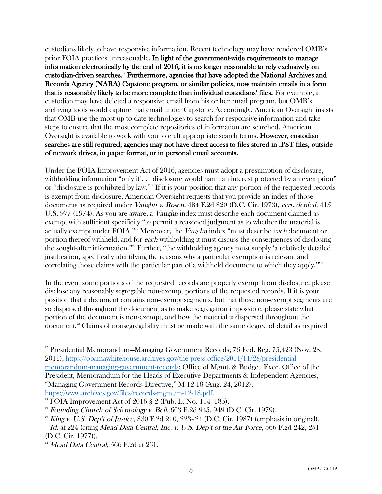custodians likely to have responsive information. Recent technology may have rendered OMB's prior FOIA practices unreasonable. In light of the government-wide requirements to manage information electronically by the end of 2016, it is no longer reasonable to rely exclusively on custodian-driven searches.17 Furthermore, agencies that have adopted the National Archives and Records Agency (NARA) Capstone program, or similar policies, now maintain emails in a form that is reasonably likely to be more complete than individual custodians' files. For example, a custodian may have deleted a responsive email from his or her email program, but OMB's archiving tools would capture that email under Capstone. Accordingly, American Oversight insists that OMB use the most up-to-date technologies to search for responsive information and take steps to ensure that the most complete repositories of information are searched. American Oversight is available to work with you to craft appropriate search terms. **However, custodian** searches are still required; agencies may not have direct access to files stored in .PST files, outside of network drives, in paper format, or in personal email accounts.

Under the FOIA Improvement Act of 2016, agencies must adopt a presumption of disclosure, withholding information "only if . . . disclosure would harm an interest protected by an exemption" or "disclosure is prohibited by law."18 If it is your position that any portion of the requested records is exempt from disclosure, American Oversight requests that you provide an index of those documents as required under Vaughn v. Rosen, 484 F.2d 820 (D.C. Cir. 1973), cert. denied, 415 U.S. 977 (1974). As you are aware, a Vaughn index must describe each document claimed as exempt with sufficient specificity "to permit a reasoned judgment as to whether the material is actually exempt under FOIA."<sup>19</sup> Moreover, the *Vaughn* index "must describe each document or portion thereof withheld, and for each withholding it must discuss the consequences of disclosing the sought-after information."20 Further, "the withholding agency must supply 'a relatively detailed justification, specifically identifying the reasons why a particular exemption is relevant and correlating those claims with the particular part of a withheld document to which they apply.'"<sup>21</sup>

In the event some portions of the requested records are properly exempt from disclosure, please disclose any reasonably segregable non-exempt portions of the requested records. If it is your position that a document contains non-exempt segments, but that those non-exempt segments are so dispersed throughout the document as to make segregation impossible, please state what portion of the document is non-exempt, and how the material is dispersed throughout the document.22 Claims of nonsegregability must be made with the same degree of detail as required

<sup>&</sup>lt;sup>17</sup> Presidential Memorandum—Managing Government Records, 76 Fed. Reg. 75,423 (Nov. 28, 2011), https://obamawhitehouse.archives.gov/the-press-office/2011/11/28/presidentialmemorandum-managing-government-records; Office of Mgmt. & Budget, Exec. Office of the President, Memorandum for the Heads of Executive Departments & Independent Agencies, "Managing Government Records Directive," M-12-18 (Aug. 24, 2012),

https://www.archives.gov/files/records-mgmt/m-12-18.pdf.<br><sup>18</sup> FOIA Improvement Act of 2016 § 2 (Pub. L. No. 114–185).

 $19$  Founding Church of Scientology v. Bell, 603 F.2d 945, 949 (D.C. Cir. 1979).

<sup>&</sup>lt;sup>20</sup> King v. U.S. Dep't of Justice, 830 F.2d 210, 223–24 (D.C. Cir. 1987) (emphasis in original).

<sup>&</sup>lt;sup>21</sup> Id. at 224 (citing Mead Data Central, Inc. v. U.S. Dep't of the Air Force, 566 F.2d 242, 251 (D.C. Cir. 1977)).

 $22$  Mead Data Central, 566 F.2d at 261.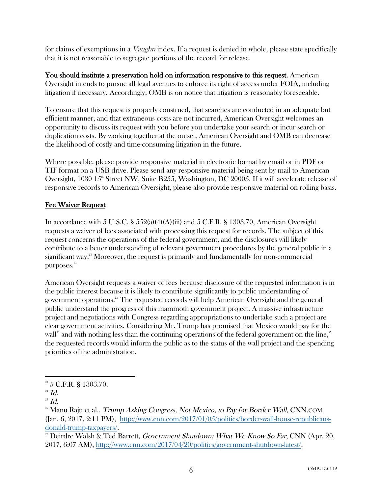for claims of exemptions in a *Vaughn* index. If a request is denied in whole, please state specifically that it is not reasonable to segregate portions of the record for release.

You should institute a preservation hold on information responsive to this request. American Oversight intends to pursue all legal avenues to enforce its right of access under FOIA, including litigation if necessary. Accordingly, OMB is on notice that litigation is reasonably foreseeable.

To ensure that this request is properly construed, that searches are conducted in an adequate but efficient manner, and that extraneous costs are not incurred, American Oversight welcomes an opportunity to discuss its request with you before you undertake your search or incur search or duplication costs. By working together at the outset, American Oversight and OMB can decrease the likelihood of costly and time-consuming litigation in the future.

Where possible, please provide responsive material in electronic format by email or in PDF or TIF format on a USB drive. Please send any responsive material being sent by mail to American Oversight, 1030  $15^{\circ}$  Street NW, Suite B255, Washington, DC 20005. If it will accelerate release of responsive records to American Oversight, please also provide responsive material on rolling basis.

#### Fee Waiver Request

In accordance with 5 U.S.C. §  $552(a)(4)(A)(iii)$  and 5 C.F.R. § 1303.70, American Oversight requests a waiver of fees associated with processing this request for records. The subject of this request concerns the operations of the federal government, and the disclosures will likely contribute to a better understanding of relevant government procedures by the general public in a significant way.<sup>23</sup> Moreover, the request is primarily and fundamentally for non-commercial purposes.<sup>24</sup>

American Oversight requests a waiver of fees because disclosure of the requested information is in the public interest because it is likely to contribute significantly to public understanding of government operations. <sup>25</sup> The requested records will help American Oversight and the general public understand the progress of this mammoth government project. A massive infrastructure project and negotiations with Congress regarding appropriations to undertake such a project are clear government activities. Considering Mr. Trump has promised that Mexico would pay for the wall<sup>26</sup> and with nothing less than the continuing operations of the federal government on the line,<sup>27</sup> the requested records would inform the public as to the status of the wall project and the spending priorities of the administration.

  $23$  5 C.F.R. § 1303.70.

 $^{24}$  Id.

 $^{25}$   $Id.$ 

 $^{26}$  Manu Raju et al., *Trump Asking Congress, Not Mexico, to Pay for Border Wall*, CNN.COM (Jan. 6, 2017, 2:11 PM), http://www.cnn.com/2017/01/05/politics/border-wall-house-republicansdonald-trump-taxpayers/.

 $2^{\nu}$  Deirdre Walsh & Ted Barrett, *Government Shutdown: What We Know So Far*, CNN (Apr. 20, 2017, 6:07 AM), http://www.cnn.com/2017/04/20/politics/government-shutdown-latest/.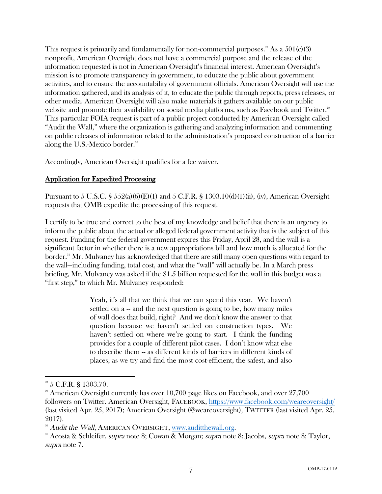This request is primarily and fundamentally for non-commercial purposes.<sup>28</sup> As a  $501(c)(3)$ nonprofit, American Oversight does not have a commercial purpose and the release of the information requested is not in American Oversight's financial interest. American Oversight's mission is to promote transparency in government, to educate the public about government activities, and to ensure the accountability of government officials. American Oversight will use the information gathered, and its analysis of it, to educate the public through reports, press releases, or other media. American Oversight will also make materials it gathers available on our public website and promote their availability on social media platforms, such as Facebook and Twitter.<sup>29</sup> This particular FOIA request is part of a public project conducted by American Oversight called "Audit the Wall," where the organization is gathering and analyzing information and commenting on public releases of information related to the administration's proposed construction of a barrier along the U.S.-Mexico border.<sup>30</sup>

Accordingly, American Oversight qualifies for a fee waiver.

### Application for Expedited Processing

Pursuant to 5 U.S.C.  $\S 552(a)(6)(E)(1)$  and 5 C.F.R.  $\S 1303.10(d)(1)(ii)$ , (iv), American Oversight requests that OMB expedite the processing of this request.

I certify to be true and correct to the best of my knowledge and belief that there is an urgency to inform the public about the actual or alleged federal government activity that is the subject of this request. Funding for the federal government expires this Friday, April 28, and the wall is a significant factor in whether there is a new appropriations bill and how much is allocated for the border.<sup>31</sup> Mr. Mulvaney has acknowledged that there are still many open questions with regard to the wall—including funding, total cost, and what the "wall" will actually be. In a March press briefing, Mr. Mulvaney was asked if the \$1.5 billion requested for the wall in this budget was a "first step," to which Mr. Mulvaney responded:

> Yeah, it's all that we think that we can spend this year. We haven't settled on a -- and the next question is going to be, how many miles of wall does that build, right? And we don't know the answer to that question because we haven't settled on construction types. We haven't settled on where we're going to start. I think the funding provides for a couple of different pilot cases. I don't know what else to describe them -- as different kinds of barriers in different kinds of places, as we try and find the most cost-efficient, the safest, and also

<sup>&</sup>lt;sup>28</sup> 5 C.F.R. § 1303.70.

 $29$  American Oversight currently has over 10,700 page likes on Facebook, and over 27,700 followers on Twitter. American Oversight, FACEBOOK, https://www.facebook.com/weareoversight/ (last visited Apr. 25, 2017); American Oversight (@weareoversight), TWITTER (last visited Apr. 25, 2017).

<sup>&</sup>lt;sup>30</sup> Audit the Wall, AMERICAN OVERSIGHT, <u>www.auditthewall.org</u>.<br><sup>31</sup> Acosta & Schleifer, *supra* note 8; Cowan & Morgan; *supra* note 8; Jacobs, *supra* note 8; Taylor, supra note 7.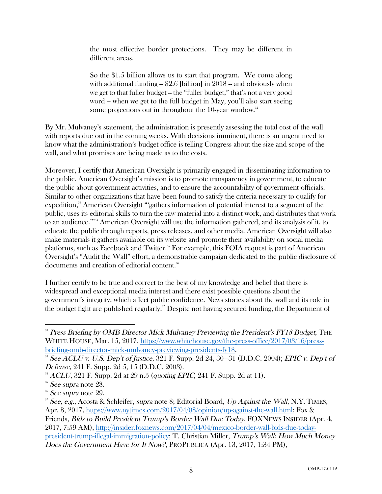the most effective border protections. They may be different in different areas.

So the \$1.5 billion allows us to start that program. We come along with additional funding  $-$  \$2.6 [billion] in 2018  $-$  and obviously when we get to that fuller budget -- the "fuller budget," that's not a very good word -- when we get to the full budget in May, you'll also start seeing some projections out in throughout the  $10$ -year window.<sup>32</sup>

By Mr. Mulvaney's statement, the administration is presently assessing the total cost of the wall with reports due out in the coming weeks. With decisions imminent, there is an urgent need to know what the administration's budget office is telling Congress about the size and scope of the wall, and what promises are being made as to the costs.

Moreover, I certify that American Oversight is primarily engaged in disseminating information to the public. American Oversight's mission is to promote transparency in government, to educate the public about government activities, and to ensure the accountability of government officials. Similar to other organizations that have been found to satisfy the criteria necessary to qualify for expedition,<sup>33</sup> American Oversight "'gathers information of potential interest to a segment of the public, uses its editorial skills to turn the raw material into a distinct work, and distributes that work to an audience."<sup>34</sup> American Oversight will use the information gathered, and its analysis of it, to educate the public through reports, press releases, and other media. American Oversight will also make materials it gathers available on its website and promote their availability on social media platforms, such as Facebook and Twitter.<sup>35</sup> For example, this FOIA request is part of American Oversight's "Audit the Wall" effort, a demonstrable campaign dedicated to the public disclosure of documents and creation of editorial content.<sup>36</sup>

I further certify to be true and correct to the best of my knowledge and belief that there is widespread and exceptional media interest and there exist possible questions about the government's integrity, which affect public confidence. News stories about the wall and its role in the budget fight are published regularly. <sup>37</sup> Despite not having secured funding, the Department of

<sup>&</sup>lt;sup>32</sup> Press Briefing by OMB Director Mick Mulvaney Previewing the President's FY18 Budget, THE WHITE HOUSE, Mar. 15, 2017, https://www.whitehouse.gov/the-press-office/2017/03/16/pressbriefing-omb-director-mick-mulvaney-previewing-presidents-fy18.<br><sup>33</sup> See ACLU v. U.S. Dep't of Justice, 321 F. Supp. 2d 24, 30–31 (D.D.C. 2004); EPIC v. Dep't of

Defense, 241 F. Supp. 2d 5, 15 (D.D.C. 2003).

 $^{34}$  ACLU, 321 F. Supp. 2d at 29 n.5 (quoting EPIC, 241 F. Supp. 2d at 11).

 $35$  See supra note 28.

 $36$  See supra note 29.

<sup>&</sup>lt;sup>37</sup> See, e.g., Acosta & Schleifer, supra note 8; Editorial Board, Up Against the Wall, N.Y. TIMES, Apr. 8, 2017, https://www.nytimes.com/2017/04/08/opinion/up-against-the-wall.html; Fox & Friends, Bids to Build President Trump's Border Wall Due Today, FOXNEWS INSIDER (Apr. 4, 2017, 7:59 AM), http://insider.foxnews.com/2017/04/04/mexico-border-wall-bids-due-todaypresident-trump-illegal-immigration-policy; T. Christian Miller, Trump's Wall: How Much Money Does the Government Have for It Now?, PROPUBLICA (Apr. 13, 2017, 1:34 PM),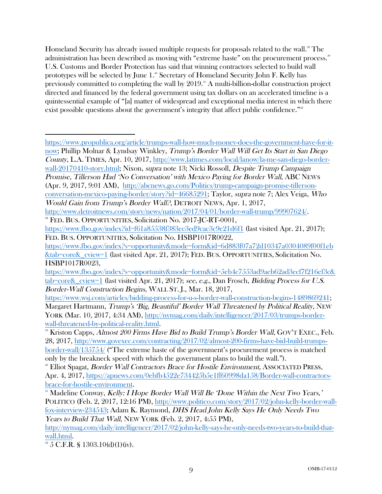Homeland Security has already issued multiple requests for proposals related to the wall. <sup>38</sup> The administration has been described as moving with "extreme haste" on the procurement process.<sup>39</sup> U.S. Customs and Border Protection has said that winning contractors selected to build wall prototypes will be selected by June 1.<sup>40</sup> Secretary of Homeland Security John F. Kelly has previously committed to completing the wall by  $2019<sup>41</sup>$  A multi-billion-dollar construction project directed and financed by the federal government using tax dollars on an accelerated timeline is a quintessential example of "[a] matter of widespread and exceptional media interest in which there exist possible questions about the government's integrity that affect public confidence."<sup>42</sup>

https://www.propublica.org/article/trumps-wall-how-much-money-does-the-government-have-for-itnow; Phillip Molnar & Lyndsay Winkley, Trump's Border Wall Will Get Its Start in San Diego County, L.A. TIMES, Apr. 10, 2017, http://www.latimes.com/local/lanow/la-me-san-diego-borderwall-20170410-story.html; Nixon, supra note 13; Nicki Rossoll, Despite Trump Campaign Promise, Tillerson Had 'No Conversation' with Mexico Paying for Border Wall, ABC NEWS (Apr. 9, 2017, 9:01 AM), http://abcnews.go.com/Politics/trump-campaign-promise-tillersonconversation-mexico-paying-border/story?id=46685291; Taylor, supra note 7; Alex Veiga, Who Would Gain from Trump's Border Wall?, DETROIT NEWS, Apr. 1, 2017,

http://www.detroitnews.com/story/news/nation/2017/04/01/border-wall-trump/99907624/.

FED. BUS. OPPORTUNITIES, Solicitation No. 2017-JC-RT-0001,

https://www.fbo.gov/index?id=f61a85538f383ec3ed9cac3c9e21d6f1 (last visited Apr. 21, 2017); FED. BUS. OPPORTUNITIES, Solicitation No. HSBP1017R0022,

https://www.fbo.gov/index?s=opportunity&mode=form&id=6d883f07a72d10347a0304089f00f1eb &tab=core&\_cview=1 (last visited Apr. 21, 2017); FED. BUS. OPPORTUNITIES, Solicitation No. HSBP1017R0023,

https://www.fbo.gov/index?s=opportunity&mode=form&id=5eb4c7553ad9aeb62ad3ecf7f216ef3c& tab=core&\_cview=1 (last visited Apr. 21, 2017); see, e.g., Dan Frosch, Bidding Process for U.S. Border-Wall Construction Begins, WALL ST. J., Mar. 18, 2017,

https://www.wsj.com/articles/bidding-process-for-u-s-border-wall-construction-begins-1489869241; Margaret Hartmann, *Trump's 'Big, Beautiful' Border Wall Threatened by Political Reality*, NEW YORK (Mar. 10, 2017, 4:34 AM), http://nymag.com/daily/intelligencer/2017/03/trumps-borderwall-threatened-by-political-reality.html.

<sup>39</sup> Kriston Capps, *Almost 200 Firms Have Bid to Build Trump's Border Wall*, GOV'T EXEC., Feb. 28, 2017, http://www.govexec.com/contracting/2017/02/almost-200-firms-have-bid-build-trumpsborder-wall/135754/ ("The extreme haste of the government's procurement process is matched only by the breakneck speed with which the government plans to build the wall.").

<sup>40</sup> Elliot Spagat, *Border Wall Contractors Brace for Hostile Environment*, ASSOCIATED PRESS, Apr. 4, 2017, https://apnews.com/0ebfb4522e734425b5e1ff60998da158/Border-wall-contractors-

brace-for-hostile-environment.<br>
<sup>41</sup> Madeline Conway, *Kelly: I Hope Border Wall Will Be 'Done Within the Next Two Years,'* POLITICO (Feb. 2, 2017, 12:16 PM), http://www.politico.com/story/2017/02/john-kelly-border-wallfox-interview-234543; Adam K. Raymond, DHS Head John Kelly Says He Only Needs Two Years to Build That Wall, NEW YORK (Feb. 2, 2017, 4:55 PM),

http://nymag.com/daily/intelligencer/2017/02/john-kelly-says-he-only-needs-two-years-to-build-that- $\frac{\text{wall.html}}{42}$ .<br> $\frac{42}{5}$  C.F.R. § 1303.10(d)(1)(iv).